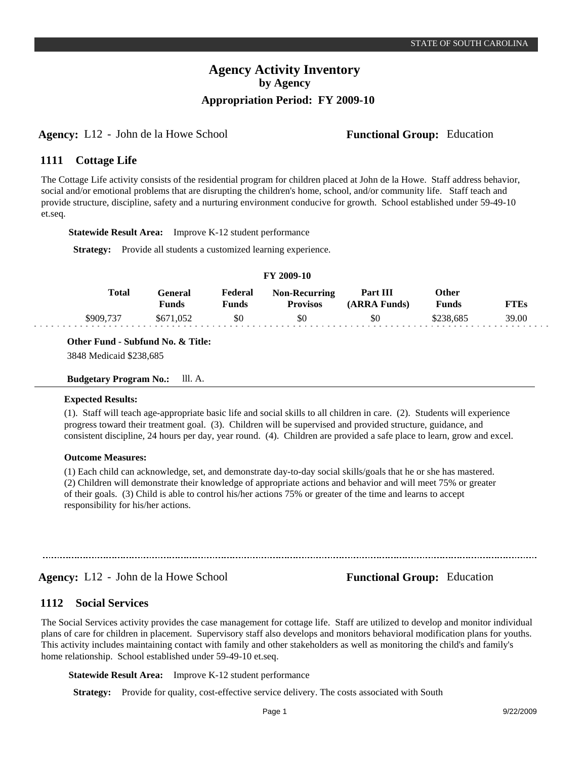# **Agency:** L12 - John de la Howe School **Functional Group:** Education

#### **Cottage Life 1111**

The Cottage Life activity consists of the residential program for children placed at John de la Howe. Staff address behavior, social and/or emotional problems that are disrupting the children's home, school, and/or community life. Staff teach and provide structure, discipline, safety and a nurturing environment conducive for growth. School established under 59-49-10 et.seq.

**Statewide Result Area:** Improve K-12 student performance

**Strategy:** Provide all students a customized learning experience.

### **FY 2009-10**

| <b>Total</b> | <b>Teneral</b><br>Funds | Federal<br>Funds | <b>Non-Recurring</b><br>Provisos | <b>Part III</b><br>(ARRA Funds) | Other<br>Funds | FTEs  |
|--------------|-------------------------|------------------|----------------------------------|---------------------------------|----------------|-------|
| \$909.737    | \$671,052               | \$0              | \$0                              | \$0                             | :238.685       | 39.00 |

**Other Fund - Subfund No. & Title:**

3848 Medicaid \$238,685

**Budgetary Program No.:** lll. A.

# **Expected Results:**

(1). Staff will teach age-appropriate basic life and social skills to all children in care. (2). Students will experience progress toward their treatment goal. (3). Children will be supervised and provided structure, guidance, and consistent discipline, 24 hours per day, year round. (4). Children are provided a safe place to learn, grow and excel.

# **Outcome Measures:**

(1) Each child can acknowledge, set, and demonstrate day-to-day social skills/goals that he or she has mastered. (2) Children will demonstrate their knowledge of appropriate actions and behavior and will meet 75% or greater of their goals. (3) Child is able to control his/her actions 75% or greater of the time and learns to accept responsibility for his/her actions.

**Agency:** L12 - John de la Howe School **Functional Group:** Education

#### **Social Services 1112**

The Social Services activity provides the case management for cottage life. Staff are utilized to develop and monitor individual plans of care for children in placement. Supervisory staff also develops and monitors behavioral modification plans for youths. This activity includes maintaining contact with family and other stakeholders as well as monitoring the child's and family's home relationship. School established under 59-49-10 et.seq.

**Statewide Result Area:** Improve K-12 student performance

**Strategy:** Provide for quality, cost-effective service delivery. The costs associated with South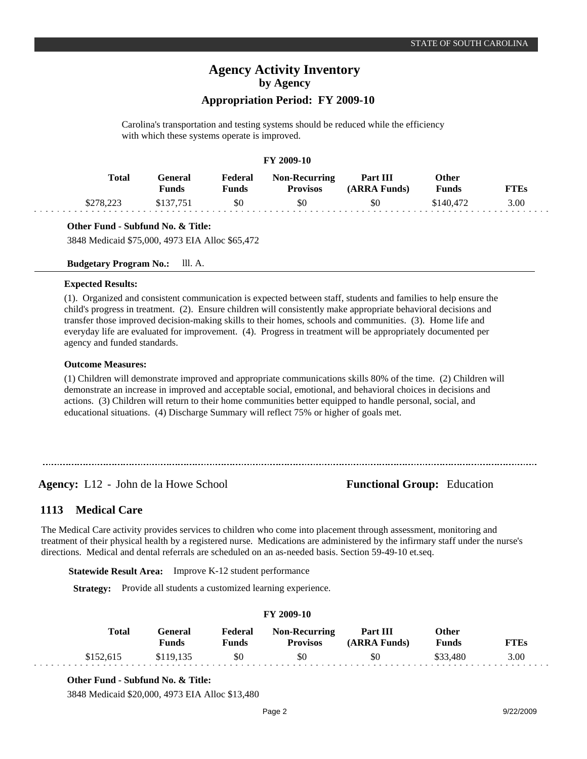# **Appropriation Period: FY 2009-10**

Carolina's transportation and testing systems should be reduced while the efficiency with which these systems operate is improved.

# **FY 2009-10**

| <b>Total</b>      | General<br>Funds | Federal<br>Funds | <b>Non-Recurring</b><br><b>Provisos</b> | Part III<br>(ARRA Funds) | Other<br><b>Funds</b> | <b>FTEs</b> |
|-------------------|------------------|------------------|-----------------------------------------|--------------------------|-----------------------|-------------|
| $$278,22^{\circ}$ |                  | \$0              | \$0                                     | \$0                      | \$140,472             | 3.00        |

# **Other Fund - Subfund No. & Title:**

3848 Medicaid \$75,000, 4973 EIA Alloc \$65,472

# **Budgetary Program No.:** lll. A.

### **Expected Results:**

(1). Organized and consistent communication is expected between staff, students and families to help ensure the child's progress in treatment. (2). Ensure children will consistently make appropriate behavioral decisions and transfer those improved decision-making skills to their homes, schools and communities. (3). Home life and everyday life are evaluated for improvement. (4). Progress in treatment will be appropriately documented per agency and funded standards.

# **Outcome Measures:**

(1) Children will demonstrate improved and appropriate communications skills 80% of the time. (2) Children will demonstrate an increase in improved and acceptable social, emotional, and behavioral choices in decisions and actions. (3) Children will return to their home communities better equipped to handle personal, social, and educational situations. (4) Discharge Summary will reflect 75% or higher of goals met.

# **Agency:** L12 - John de la Howe School **Functional Group:** Education

### **Medical Care 1113**

The Medical Care activity provides services to children who come into placement through assessment, monitoring and treatment of their physical health by a registered nurse. Medications are administered by the infirmary staff under the nurse's directions. Medical and dental referrals are scheduled on an as-needed basis. Section 59-49-10 et.seq.

**Statewide Result Area:** Improve K-12 student performance

**Strategy:** Provide all students a customized learning experience.

# **FY 2009-10**

| Total     | <b>Teneral</b><br>Funds | Federal<br>Funds | <b>Non-Recurring</b><br><b>Provisos</b> | Part III<br>(ARRA Funds) | Other<br><b>Funds</b> | FTEs |
|-----------|-------------------------|------------------|-----------------------------------------|--------------------------|-----------------------|------|
| \$152,615 | \$119,135               | \$0              | \$0                                     | \$0                      | \$33,480              | 3.00 |

# **Other Fund - Subfund No. & Title:**

3848 Medicaid \$20,000, 4973 EIA Alloc \$13,480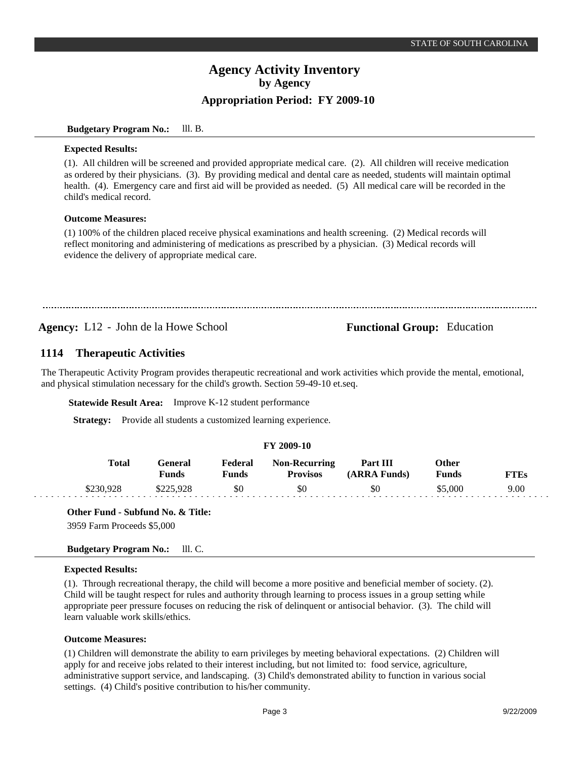# **Budgetary Program No.:** lll. B.

## **Expected Results:**

(1). All children will be screened and provided appropriate medical care. (2). All children will receive medication as ordered by their physicians. (3). By providing medical and dental care as needed, students will maintain optimal health. (4). Emergency care and first aid will be provided as needed. (5) All medical care will be recorded in the child's medical record.

# **Outcome Measures:**

(1) 100% of the children placed receive physical examinations and health screening. (2) Medical records will reflect monitoring and administering of medications as prescribed by a physician. (3) Medical records will evidence the delivery of appropriate medical care.

**Agency:** L12 - John de la Howe School **Functional Group:** Education

### **Therapeutic Activities 1114**

The Therapeutic Activity Program provides therapeutic recreational and work activities which provide the mental, emotional, and physical stimulation necessary for the child's growth. Section 59-49-10 et.seq.

**Statewide Result Area:** Improve K-12 student performance

**Strategy:** Provide all students a customized learning experience.

# **FY 2009-10**

| <b>Total</b> | General<br>Funds | Federal<br>Funds | <b>Non-Recurring</b><br><b>Provisos</b> | Part III<br>(ARRA Funds) | Other<br><b>Funds</b> | TTE <sub>S</sub> |
|--------------|------------------|------------------|-----------------------------------------|--------------------------|-----------------------|------------------|
|              | \$225,928        | \$0              | \$0                                     | \$0                      | \$5.000               | 9.00             |

**Other Fund - Subfund No. & Title:**

3959 Farm Proceeds \$5,000

# **Budgetary Program No.:** lll. C.

# **Expected Results:**

(1). Through recreational therapy, the child will become a more positive and beneficial member of society. (2). Child will be taught respect for rules and authority through learning to process issues in a group setting while appropriate peer pressure focuses on reducing the risk of delinquent or antisocial behavior. (3). The child will learn valuable work skills/ethics.

# **Outcome Measures:**

(1) Children will demonstrate the ability to earn privileges by meeting behavioral expectations. (2) Children will apply for and receive jobs related to their interest including, but not limited to: food service, agriculture, administrative support service, and landscaping. (3) Child's demonstrated ability to function in various social settings. (4) Child's positive contribution to his/her community.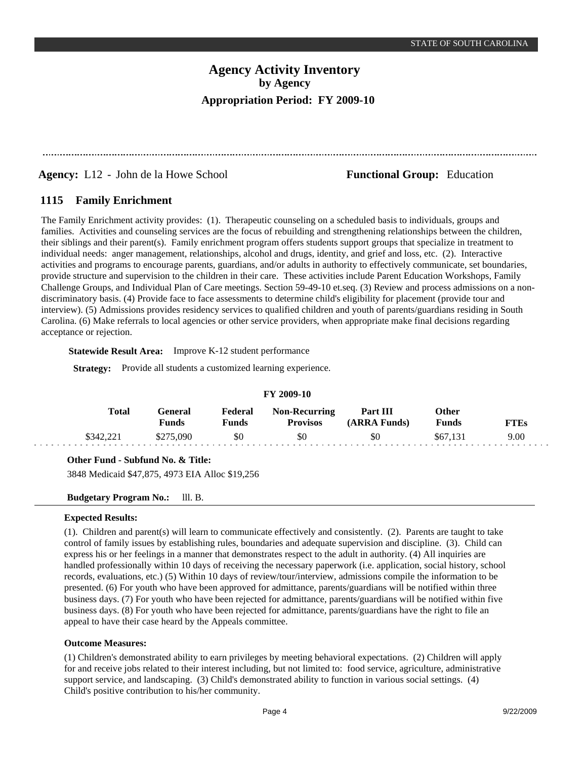**Agency:** L12 - John de la Howe School **Functional Group:** Education

#### **Family Enrichment 1115**

The Family Enrichment activity provides: (1). Therapeutic counseling on a scheduled basis to individuals, groups and families. Activities and counseling services are the focus of rebuilding and strengthening relationships between the children, their siblings and their parent(s). Family enrichment program offers students support groups that specialize in treatment to individual needs: anger management, relationships, alcohol and drugs, identity, and grief and loss, etc. (2). Interactive activities and programs to encourage parents, guardians, and/or adults in authority to effectively communicate, set boundaries, provide structure and supervision to the children in their care. These activities include Parent Education Workshops, Family Challenge Groups, and Individual Plan of Care meetings. Section 59-49-10 et.seq. (3) Review and process admissions on a nondiscriminatory basis. (4) Provide face to face assessments to determine child's eligibility for placement (provide tour and interview). (5) Admissions provides residency services to qualified children and youth of parents/guardians residing in South Carolina. (6) Make referrals to local agencies or other service providers, when appropriate make final decisions regarding acceptance or rejection.

**Statewide Result Area:** Improve K-12 student performance

**Strategy:** Provide all students a customized learning experience.

| F I 2002-IV |           |                  |                  |                                         |                          |                       |             |  |  |  |
|-------------|-----------|------------------|------------------|-----------------------------------------|--------------------------|-----------------------|-------------|--|--|--|
|             | Total     | General<br>Funds | Federal<br>Funds | <b>Non-Recurring</b><br><b>Provisos</b> | Part III<br>(ARRA Funds) | Other<br><b>Funds</b> | <b>FTEs</b> |  |  |  |
|             | \$342,221 | \$275,090        | \$0              | \$0                                     | \$0                      | \$67.131              | 9.00        |  |  |  |

# **FY 2009-10**

# **Other Fund - Subfund No. & Title:**

3848 Medicaid \$47,875, 4973 EIA Alloc \$19,256

**Budgetary Program No.:** lll. B.

# **Expected Results:**

(1). Children and parent(s) will learn to communicate effectively and consistently. (2). Parents are taught to take control of family issues by establishing rules, boundaries and adequate supervision and discipline. (3). Child can express his or her feelings in a manner that demonstrates respect to the adult in authority. (4) All inquiries are handled professionally within 10 days of receiving the necessary paperwork (i.e. application, social history, school records, evaluations, etc.) (5) Within 10 days of review/tour/interview, admissions compile the information to be presented. (6) For youth who have been approved for admittance, parents/guardians will be notified within three business days. (7) For youth who have been rejected for admittance, parents/guardians will be notified within five business days. (8) For youth who have been rejected for admittance, parents/guardians have the right to file an appeal to have their case heard by the Appeals committee.

# **Outcome Measures:**

(1) Children's demonstrated ability to earn privileges by meeting behavioral expectations. (2) Children will apply for and receive jobs related to their interest including, but not limited to: food service, agriculture, administrative support service, and landscaping. (3) Child's demonstrated ability to function in various social settings. (4) Child's positive contribution to his/her community.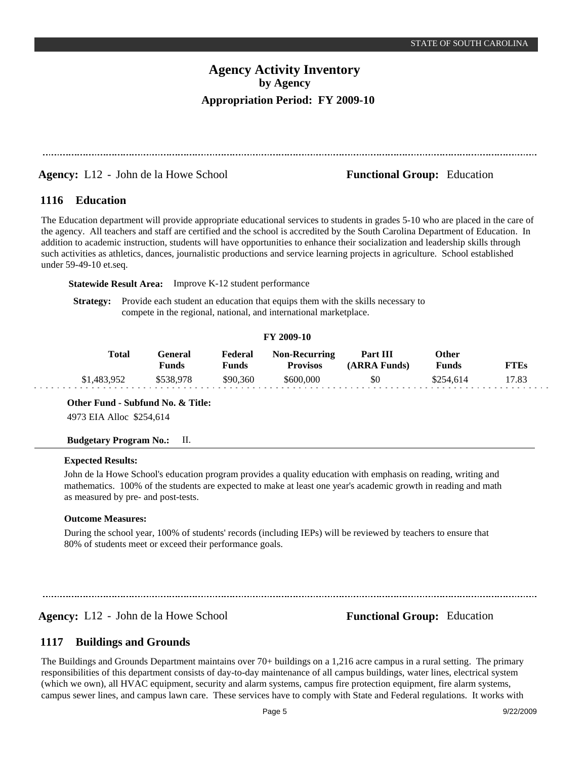# **Agency:** L12 - John de la Howe School **Functional Group:** Education

#### **Education 1116**

The Education department will provide appropriate educational services to students in grades 5-10 who are placed in the care of the agency. All teachers and staff are certified and the school is accredited by the South Carolina Department of Education. In addition to academic instruction, students will have opportunities to enhance their socialization and leadership skills through such activities as athletics, dances, journalistic productions and service learning projects in agriculture. School established under 59-49-10 et.seq.

**Statewide Result Area:** Improve K-12 student performance

**Strategy:** Provide each student an education that equips them with the skills necessary to compete in the regional, national, and international marketplace.

# **FY 2009-10**

| Total       | General)<br>Funds | Federal<br>Funds | <b>Non-Recurring</b><br><b>Provisos</b> | Part III<br>(ARRA Funds) | Other<br><b>Funds</b> | <b>FTEs</b> |
|-------------|-------------------|------------------|-----------------------------------------|--------------------------|-----------------------|-------------|
| \$1,483,952 | \$538.978         | \$90.360         | \$600.000                               | \$0                      | \$254.614             | 17.83       |

**Other Fund - Subfund No. & Title:**

4973 EIA Alloc \$254,614

# **Budgetary Program No.:** II.

# **Expected Results:**

John de la Howe School's education program provides a quality education with emphasis on reading, writing and mathematics. 100% of the students are expected to make at least one year's academic growth in reading and math as measured by pre- and post-tests.

## **Outcome Measures:**

During the school year, 100% of students' records (including IEPs) will be reviewed by teachers to ensure that 80% of students meet or exceed their performance goals.

**Agency:** L12 - John de la Howe School **Functional Group:** Education

#### **Buildings and Grounds 1117**

The Buildings and Grounds Department maintains over 70+ buildings on a 1,216 acre campus in a rural setting. The primary responsibilities of this department consists of day-to-day maintenance of all campus buildings, water lines, electrical system (which we own), all HVAC equipment, security and alarm systems, campus fire protection equipment, fire alarm systems, campus sewer lines, and campus lawn care. These services have to comply with State and Federal regulations. It works with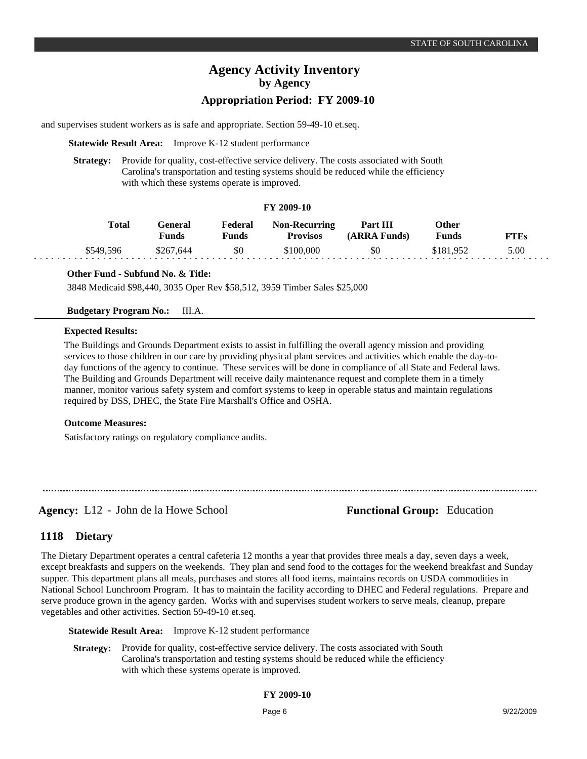# **Appropriation Period: FY 2009-10**

and supervises student workers as is safe and appropriate. Section 59-49-10 et.seq.

**Statewide Result Area:** Improve K-12 student performance

**Strategy:** Provide for quality, cost-effective service delivery. The costs associated with South Carolina's transportation and testing systems should be reduced while the efficiency with which these systems operate is improved.

# **FY 2009-10**

| Total     | General<br>Funds | Federal<br>Funds | <b>Non-Recurring</b><br><b>Provisos</b> | Part III<br>(ARRA Funds) | Other<br><b>Funds</b> | <b>FTEs</b> |
|-----------|------------------|------------------|-----------------------------------------|--------------------------|-----------------------|-------------|
| \$549.596 | \$267.644        | \$0              | \$100,000                               | \$0                      | \$181.952             | 5.00        |
|           |                  |                  |                                         |                          |                       |             |

# **Other Fund - Subfund No. & Title:**

3848 Medicaid \$98,440, 3035 Oper Rev \$58,512, 3959 Timber Sales \$25,000

# **Budgetary Program No.:** III.A.

# **Expected Results:**

The Buildings and Grounds Department exists to assist in fulfilling the overall agency mission and providing services to those children in our care by providing physical plant services and activities which enable the day-today functions of the agency to continue. These services will be done in compliance of all State and Federal laws. The Building and Grounds Department will receive daily maintenance request and complete them in a timely manner, monitor various safety system and comfort systems to keep in operable status and maintain regulations required by DSS, DHEC, the State Fire Marshall's Office and OSHA.

# **Outcome Measures:**

Satisfactory ratings on regulatory compliance audits.

**Agency:** L12 - John de la Howe School **Functional Group:** Education

#### **Dietary 1118**

The Dietary Department operates a central cafeteria 12 months a year that provides three meals a day, seven days a week, except breakfasts and suppers on the weekends. They plan and send food to the cottages for the weekend breakfast and Sunday supper. This department plans all meals, purchases and stores all food items, maintains records on USDA commodities in National School Lunchroom Program. It has to maintain the facility according to DHEC and Federal regulations. Prepare and serve produce grown in the agency garden. Works with and supervises student workers to serve meals, cleanup, prepare vegetables and other activities. Section 59-49-10 et.seq.

**Statewide Result Area:** Improve K-12 student performance

**Strategy:** Provide for quality, cost-effective service delivery. The costs associated with South Carolina's transportation and testing systems should be reduced while the efficiency with which these systems operate is improved.

# **FY 2009-10**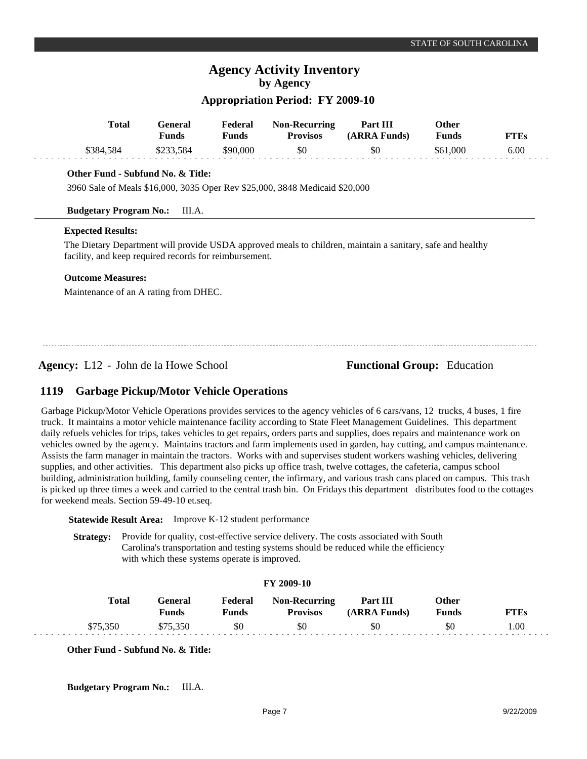# **Appropriation Period: FY 2009-10**

| Total     | General<br><b>Funds</b> | Federal<br>Funds | <b>Non-Recurring</b><br><b>Provisos</b> | Part III<br>(ARRA Funds) | <b>)ther</b><br>Funds | <b>FTEs</b> |
|-----------|-------------------------|------------------|-----------------------------------------|--------------------------|-----------------------|-------------|
| \$384.584 | \$233.584               | \$90.000         | \$0                                     | \$0                      | \$61,000              | 6.00        |

# **Other Fund - Subfund No. & Title:**

3960 Sale of Meals \$16,000, 3035 Oper Rev \$25,000, 3848 Medicaid \$20,000

# **Budgetary Program No.:** III.A.

# **Expected Results:**

The Dietary Department will provide USDA approved meals to children, maintain a sanitary, safe and healthy facility, and keep required records for reimbursement.

# **Outcome Measures:**

Maintenance of an A rating from DHEC.

**Agency:** L12 - John de la Howe School **Functional Group:** Education

### **Garbage Pickup/Motor Vehicle Operations 1119**

Garbage Pickup/Motor Vehicle Operations provides services to the agency vehicles of 6 cars/vans, 12 trucks, 4 buses, 1 fire truck. It maintains a motor vehicle maintenance facility according to State Fleet Management Guidelines. This department daily refuels vehicles for trips, takes vehicles to get repairs, orders parts and supplies, does repairs and maintenance work on vehicles owned by the agency. Maintains tractors and farm implements used in garden, hay cutting, and campus maintenance. Assists the farm manager in maintain the tractors. Works with and supervises student workers washing vehicles, delivering supplies, and other activities. This department also picks up office trash, twelve cottages, the cafeteria, campus school building, administration building, family counseling center, the infirmary, and various trash cans placed on campus. This trash is picked up three times a week and carried to the central trash bin. On Fridays this department distributes food to the cottages for weekend meals. Section 59-49-10 et.seq.

**Statewide Result Area:** Improve K-12 student performance

**Strategy:** Provide for quality, cost-effective service delivery. The costs associated with South Carolina's transportation and testing systems should be reduced while the efficiency with which these systems operate is improved.

| <b>FY 2009-10</b> |              |                  |                  |                                         |                          |                       |             |  |  |  |
|-------------------|--------------|------------------|------------------|-----------------------------------------|--------------------------|-----------------------|-------------|--|--|--|
|                   | <b>Total</b> | General<br>Funds | Federal<br>Funds | <b>Non-Recurring</b><br><b>Provisos</b> | Part III<br>(ARRA Funds) | <b>Other</b><br>Funds | <b>FTEs</b> |  |  |  |
|                   | \$75,350     | \$75,350         | \$0              | \$0                                     | \$0                      | \$0                   | 00.1        |  |  |  |

**Other Fund - Subfund No. & Title:**

**Budgetary Program No.:** III.A.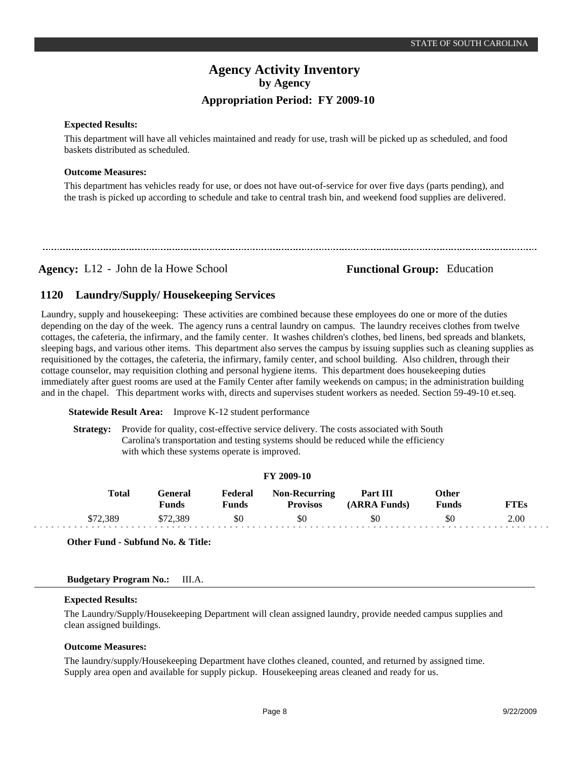# **Expected Results:**

This department will have all vehicles maintained and ready for use, trash will be picked up as scheduled, and food baskets distributed as scheduled.

# **Outcome Measures:**

This department has vehicles ready for use, or does not have out-of-service for over five days (parts pending), and the trash is picked up according to schedule and take to central trash bin, and weekend food supplies are delivered.

# **Agency:** L12 - John de la Howe School **Functional Group:** Education

### **Laundry/Supply/ Housekeeping Services 1120**

Laundry, supply and housekeeping: These activities are combined because these employees do one or more of the duties depending on the day of the week. The agency runs a central laundry on campus. The laundry receives clothes from twelve cottages, the cafeteria, the infirmary, and the family center. It washes children's clothes, bed linens, bed spreads and blankets, sleeping bags, and various other items. This department also serves the campus by issuing supplies such as cleaning supplies as requisitioned by the cottages, the cafeteria, the infirmary, family center, and school building. Also children, through their cottage counselor, may requisition clothing and personal hygiene items. This department does housekeeping duties immediately after guest rooms are used at the Family Center after family weekends on campus; in the administration building and in the chapel. This department works with, directs and supervises student workers as needed. Section 59-49-10 et.seq.

# **Statewide Result Area:** Improve K-12 student performance

**Strategy:** Provide for quality, cost-effective service delivery. The costs associated with South Carolina's transportation and testing systems should be reduced while the efficiency with which these systems operate is improved.

### **FY 2009-10**

| Total    | General<br>Funds | Federal<br>Funds | <b>Non-Recurring</b><br><b>Provisos</b> | Part III<br>(ARRA Funds) | Other<br><b>Funds</b> | <b>FTEs</b> |
|----------|------------------|------------------|-----------------------------------------|--------------------------|-----------------------|-------------|
| \$72,389 | \$72.389         | \$0              | \$0                                     | \$0                      | \$0                   | 2.00        |

**Other Fund - Subfund No. & Title:**

# **Budgetary Program No.:** III.A.

# **Expected Results:**

The Laundry/Supply/Housekeeping Department will clean assigned laundry, provide needed campus supplies and clean assigned buildings.

# **Outcome Measures:**

The laundry/supply/Housekeeping Department have clothes cleaned, counted, and returned by assigned time. Supply area open and available for supply pickup. Housekeeping areas cleaned and ready for us.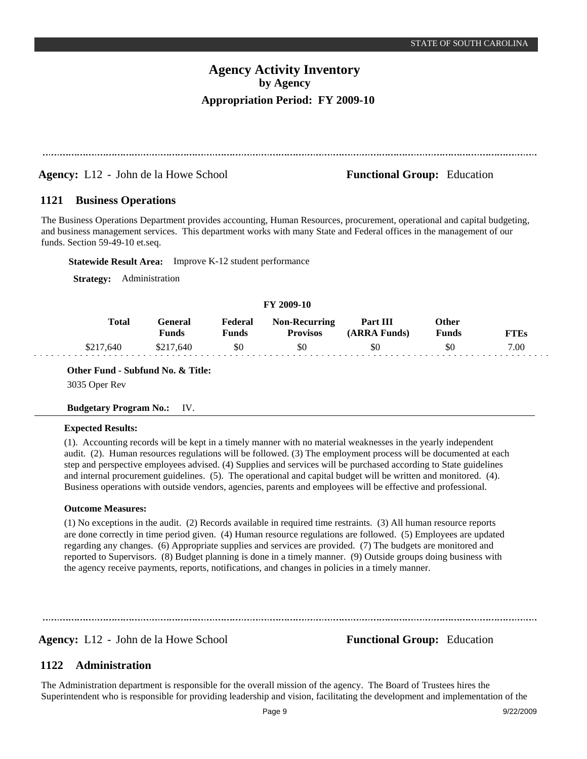# **Agency:** L12 - John de la Howe School **Functional Group:** Education

#### **Business Operations 1121**

The Business Operations Department provides accounting, Human Resources, procurement, operational and capital budgeting, and business management services. This department works with many State and Federal offices in the management of our funds. Section 59-49-10 et.seq.

**Statewide Result Area:** Improve K-12 student performance

**Strategy:** Administration

# **FY 2009-10**

| Total     | General<br><b>Funds</b> | Federal<br>Funds | <b>Non-Recurring</b><br><b>Provisos</b> | Part III<br>(ARRA Funds) | Other<br>Funds | FTEs |
|-----------|-------------------------|------------------|-----------------------------------------|--------------------------|----------------|------|
| \$217,640 | \$217,640               | \$0              | \$0                                     | \$0                      | \$C            | 7.00 |

**Other Fund - Subfund No. & Title:** 3035 Oper Rev

# **Budgetary Program No.:** IV.

# **Expected Results:**

(1). Accounting records will be kept in a timely manner with no material weaknesses in the yearly independent audit. (2). Human resources regulations will be followed. (3) The employment process will be documented at each step and perspective employees advised. (4) Supplies and services will be purchased according to State guidelines and internal procurement guidelines. (5). The operational and capital budget will be written and monitored. (4). Business operations with outside vendors, agencies, parents and employees will be effective and professional.

# **Outcome Measures:**

(1) No exceptions in the audit. (2) Records available in required time restraints. (3) All human resource reports are done correctly in time period given. (4) Human resource regulations are followed. (5) Employees are updated regarding any changes. (6) Appropriate supplies and services are provided. (7) The budgets are monitored and reported to Supervisors. (8) Budget planning is done in a timely manner. (9) Outside groups doing business with the agency receive payments, reports, notifications, and changes in policies in a timely manner.

**Agency:** L12 - John de la Howe School **Functional Group:** Education

### **Administration 1122**

The Administration department is responsible for the overall mission of the agency. The Board of Trustees hires the Superintendent who is responsible for providing leadership and vision, facilitating the development and implementation of the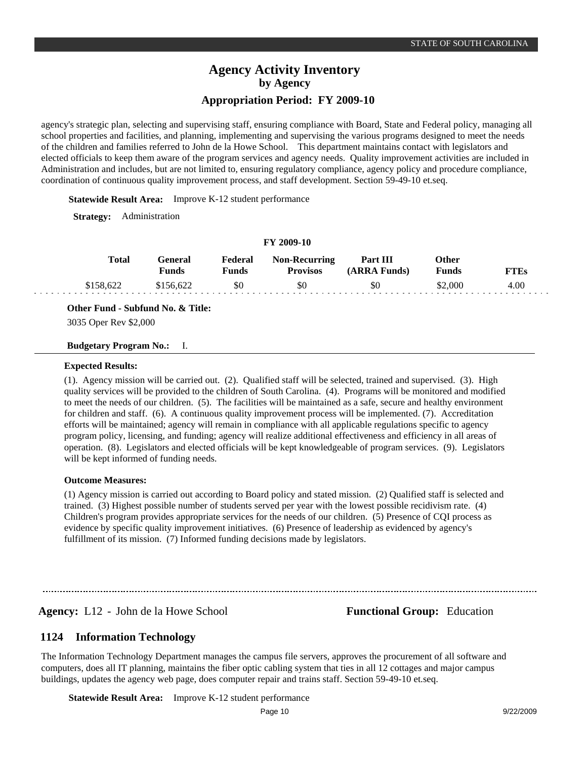agency's strategic plan, selecting and supervising staff, ensuring compliance with Board, State and Federal policy, managing all school properties and facilities, and planning, implementing and supervising the various programs designed to meet the needs of the children and families referred to John de la Howe School. This department maintains contact with legislators and elected officials to keep them aware of the program services and agency needs. Quality improvement activities are included in Administration and includes, but are not limited to, ensuring regulatory compliance, agency policy and procedure compliance, coordination of continuous quality improvement process, and staff development. Section 59-49-10 et.seq.

**Statewide Result Area:** Improve K-12 student performance

**Strategy:** Administration

### **FY 2009-10**

| Total     | General<br>Funds | Federal<br>Funds | <b>Non-Recurring</b><br><b>Provisos</b> | Part III<br>(ARRA Funds) | Other<br><b>Funds</b> | FTEs |
|-----------|------------------|------------------|-----------------------------------------|--------------------------|-----------------------|------|
| \$158,622 | \$156,622        | \$0              | \$0                                     | \$0                      | \$2,000               | 4.00 |

**Other Fund - Subfund No. & Title:**

3035 Oper Rev \$2,000

## **Budgetary Program No.:** I.

### **Expected Results:**

(1). Agency mission will be carried out. (2). Qualified staff will be selected, trained and supervised. (3). High quality services will be provided to the children of South Carolina. (4). Programs will be monitored and modified to meet the needs of our children. (5). The facilities will be maintained as a safe, secure and healthy environment for children and staff. (6). A continuous quality improvement process will be implemented. (7). Accreditation efforts will be maintained; agency will remain in compliance with all applicable regulations specific to agency program policy, licensing, and funding; agency will realize additional effectiveness and efficiency in all areas of operation. (8). Legislators and elected officials will be kept knowledgeable of program services. (9). Legislators will be kept informed of funding needs.

### **Outcome Measures:**

(1) Agency mission is carried out according to Board policy and stated mission. (2) Qualified staff is selected and trained. (3) Highest possible number of students served per year with the lowest possible recidivism rate. (4) Children's program provides appropriate services for the needs of our children. (5) Presence of CQI process as evidence by specific quality improvement initiatives. (6) Presence of leadership as evidenced by agency's fulfillment of its mission. (7) Informed funding decisions made by legislators.

**Agency:** L12 - John de la Howe School **Functional Group:** Education

#### **Information Technology 1124**

The Information Technology Department manages the campus file servers, approves the procurement of all software and computers, does all IT planning, maintains the fiber optic cabling system that ties in all 12 cottages and major campus buildings, updates the agency web page, does computer repair and trains staff. Section 59-49-10 et.seq.

**Statewide Result Area:** Improve K-12 student performance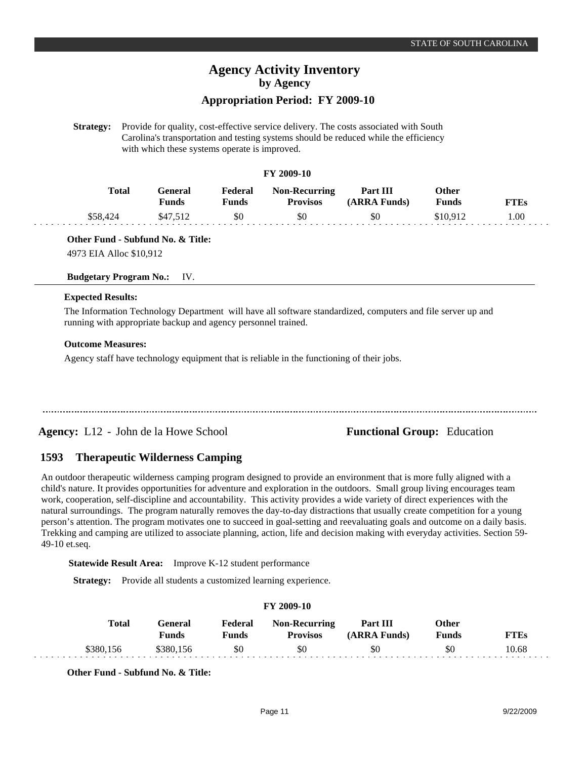# **Appropriation Period: FY 2009-10**

**Strategy:** Provide for quality, cost-effective service delivery. The costs associated with South Carolina's transportation and testing systems should be reduced while the efficiency with which these systems operate is improved.

# **FY 2009-10**

| <b>Total</b> | General<br>Funds | Federal<br>Funds | <b>Non-Recurring</b><br><b>Provisos</b> | Part III<br>(ARRA Funds) | Other<br>Funds | FTEs |
|--------------|------------------|------------------|-----------------------------------------|--------------------------|----------------|------|
| \$58,424     | \$47.512         | \$0              | \$0                                     | \$0                      | \$10.912       | 1.00 |

**Other Fund - Subfund No. & Title:**

4973 EIA Alloc \$10,912

# **Budgetary Program No.:** IV.

# **Expected Results:**

The Information Technology Department will have all software standardized, computers and file server up and running with appropriate backup and agency personnel trained.

### **Outcome Measures:**

Agency staff have technology equipment that is reliable in the functioning of their jobs.

# **Agency:** L12 - John de la Howe School **Functional Group:** Education

#### **Therapeutic Wilderness Camping 1593**

An outdoor therapeutic wilderness camping program designed to provide an environment that is more fully aligned with a child's nature. It provides opportunities for adventure and exploration in the outdoors. Small group living encourages team work, cooperation, self-discipline and accountability. This activity provides a wide variety of direct experiences with the natural surroundings. The program naturally removes the day-to-day distractions that usually create competition for a young person's attention. The program motivates one to succeed in goal-setting and reevaluating goals and outcome on a daily basis. Trekking and camping are utilized to associate planning, action, life and decision making with everyday activities. Section 59- 49-10 et.seq.

**Statewide Result Area:** Improve K-12 student performance

**Strategy:** Provide all students a customized learning experience.

# **FY 2009-10**

|      | <b>Total</b> | Feneral<br><b>Funds</b> | Federal<br>Funds | <b>Non-Recurring</b><br><b>Provisos</b> | Part III<br>(ARRA Funds) | )ther<br>Funds | $T^* \mathbf{T} \mathbf{E}$ s |
|------|--------------|-------------------------|------------------|-----------------------------------------|--------------------------|----------------|-------------------------------|
| 380. |              | 8380.156                | \$0              | \$0                                     | \$0                      | \$0            | 10.68                         |

**Other Fund - Subfund No. & Title:**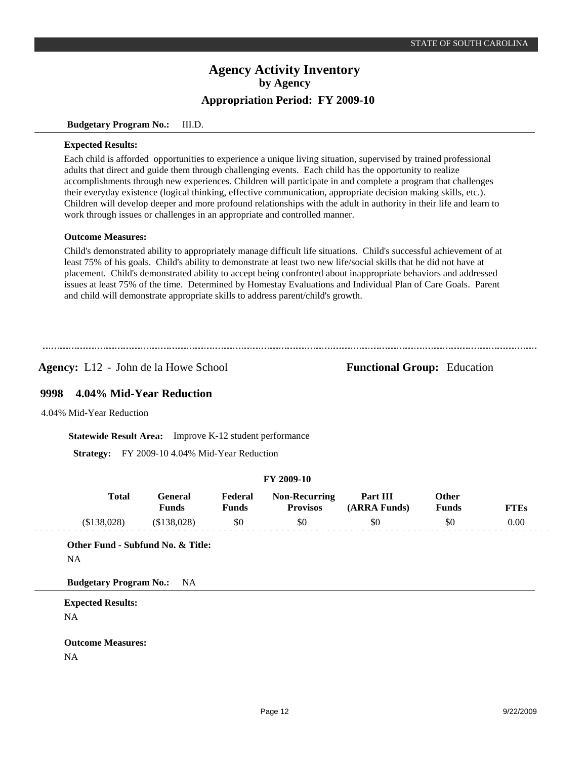### **Budgetary Program No.:** III.D.

### **Expected Results:**

Each child is afforded opportunities to experience a unique living situation, supervised by trained professional adults that direct and guide them through challenging events. Each child has the opportunity to realize accomplishments through new experiences. Children will participate in and complete a program that challenges their everyday existence (logical thinking, effective communication, appropriate decision making skills, etc.). Children will develop deeper and more profound relationships with the adult in authority in their life and learn to work through issues or challenges in an appropriate and controlled manner.

## **Outcome Measures:**

Child's demonstrated ability to appropriately manage difficult life situations. Child's successful achievement of at least 75% of his goals. Child's ability to demonstrate at least two new life/social skills that he did not have at placement. Child's demonstrated ability to accept being confronted about inappropriate behaviors and addressed issues at least 75% of the time. Determined by Homestay Evaluations and Individual Plan of Care Goals. Parent and child will demonstrate appropriate skills to address parent/child's growth.

**Agency:** L12 - John de la Howe School **Functional Group:** Education

#### **4.04% Mid-Year Reduction 9998**

4.04% Mid-Year Reduction

**Statewide Result Area:** Improve K-12 student performance

**Strategy:** FY 2009-10 4.04% Mid-Year Reduction

# **FY 2009-10**

| <b>Total</b> | General<br>Funds | Federal<br>Funds | <b>Non-Recurring</b><br><b>Provisos</b> | Part III<br>(ARRA Funds) | Other<br>Funds | <b>FTEs</b> |
|--------------|------------------|------------------|-----------------------------------------|--------------------------|----------------|-------------|
| (S138.028)   | (\$138,028)      | \$0              | \$0                                     | \$0                      | \$0            | 0.00        |

**Other Fund - Subfund No. & Title:**

NA

**Budgetary Program No.:** NA

**Expected Results:** NA

**Outcome Measures:** NA